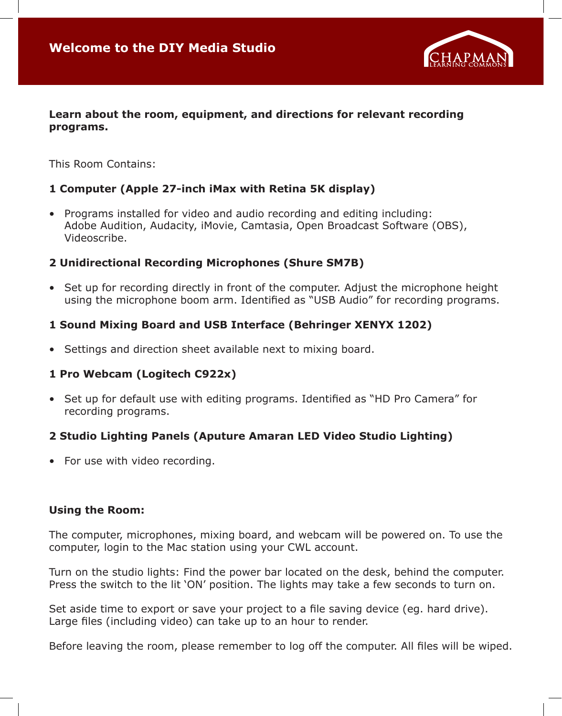

#### **Learn about the room, equipment, and directions for relevant recording programs.**

This Room Contains:

## **1 Computer (Apple 27-inch iMax with Retina 5K display)**

• Programs installed for video and audio recording and editing including: Adobe Audition, Audacity, iMovie, Camtasia, Open Broadcast Software (OBS), Videoscribe.

#### **2 Unidirectional Recording Microphones (Shure SM7B)**

• Set up for recording directly in front of the computer. Adjust the microphone height using the microphone boom arm. Identified as "USB Audio" for recording programs.

### **1 Sound Mixing Board and USB Interface (Behringer XENYX 1202)**

• Settings and direction sheet available next to mixing board.

#### **1 Pro Webcam (Logitech C922x)**

• Set up for default use with editing programs. Identified as "HD Pro Camera" for recording programs.

## **2 Studio Lighting Panels (Aputure Amaran LED Video Studio Lighting)**

• For use with video recording.

#### **Using the Room:**

The computer, microphones, mixing board, and webcam will be powered on. To use the computer, login to the Mac station using your CWL account.

Turn on the studio lights: Find the power bar located on the desk, behind the computer. Press the switch to the lit 'ON' position. The lights may take a few seconds to turn on.

Set aside time to export or save your project to a file saving device (eg. hard drive). Large files (including video) can take up to an hour to render.

Before leaving the room, please remember to log off the computer. All files will be wiped.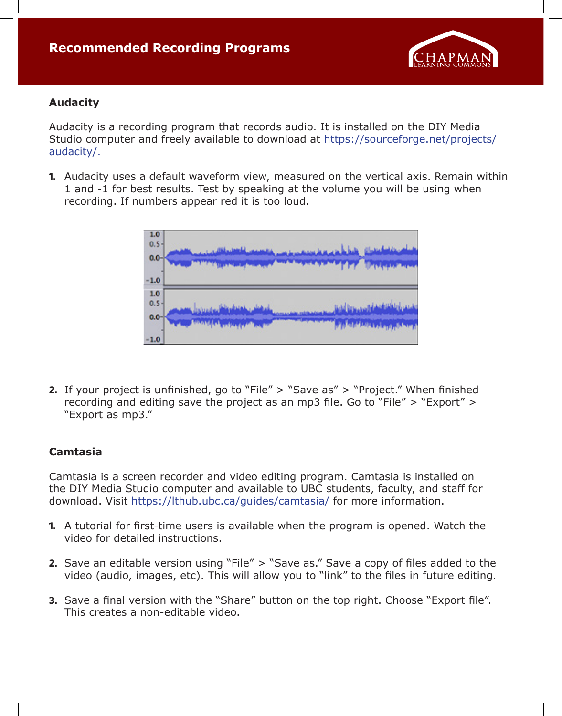

#### **Audacity**

Audacity is a recording program that records audio. It is installed on the DIY Media Studio computer and freely available to download at https://sourceforge.net/projects/ audacity/.

**1.** Audacity uses a default waveform view, measured on the vertical axis. Remain within 1 and -1 for best results. Test by speaking at the volume you will be using when recording. If numbers appear red it is too loud.



**2.** If your project is unfinished, go to "File" > "Save as" > "Project." When finished recording and editing save the project as an mp3 file. Go to "File" > "Export" > "Export as mp3."

#### **Camtasia**

Camtasia is a screen recorder and video editing program. Camtasia is installed on the DIY Media Studio computer and available to UBC students, faculty, and staff for download. Visit https://lthub.ubc.ca/guides/camtasia/ for more information.

- **1.** A tutorial for first-time users is available when the program is opened. Watch the video for detailed instructions.
- **2.** Save an editable version using "File" > "Save as." Save a copy of files added to the video (audio, images, etc). This will allow you to "link" to the files in future editing.
- **3.** Save a final version with the "Share" button on the top right. Choose "Export file". This creates a non-editable video.